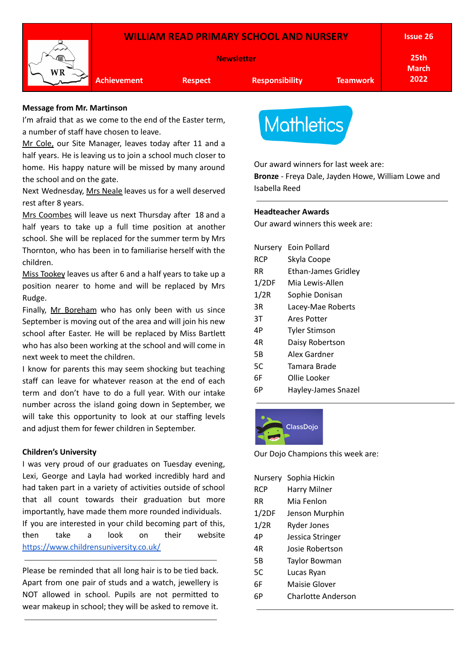

### **Message from Mr. Martinson**

I'm afraid that as we come to the end of the Easter term. a number of staff have chosen to leave.

Mr Cole, our Site Manager, leaves today after 11 and a half years. He is leaving us to join a school much closer to home. His happy nature will be missed by many around the school and on the gate.

Next Wednesday, Mrs Neale leaves us for a well deserved rest after 8 years.

Mrs Coombes will leave us next Thursday after 18 and a half years to take up a full time position at another school. She will be replaced for the summer term by Mrs Thornton, who has been in to familiarise herself with the children.

Miss Tookey leaves us after 6 and a half years to take up a position nearer to home and will be replaced by Mrs Rudge.

Finally, Mr Boreham who has only been with us since September is moving out of the area and will join his new school after Easter. He will be replaced by Miss Bartlett who has also been working at the school and will come in next week to meet the children.

I know for parents this may seem shocking but teaching staff can leave for whatever reason at the end of each term and don't have to do a full year. With our intake number across the island going down in September, we will take this opportunity to look at our staffing levels and adjust them for fewer children in September.

#### **Children's University**

I was very proud of our graduates on Tuesday evening, Lexi, George and Layla had worked incredibly hard and had taken part in a variety of activities outside of school that all count towards their graduation but more importantly, have made them more rounded individuals. If you are interested in your child becoming part of this, then take a look on their website <https://www.childrensuniversity.co.uk/>

Please be reminded that all long hair is to be tied back. Apart from one pair of studs and a watch, jewellery is NOT allowed in school. Pupils are not permitted to wear makeup in school; they will be asked to remove it.



Our award winners for last week are:

**Bronze** - Freya Dale, Jayden Howe, William Lowe and Isabella Reed

### **Headteacher Awards**

Our award winners this week are:

| Nursery | Eoin Pollard               |
|---------|----------------------------|
| RCP     | Skyla Coope                |
| RR      | <b>Ethan-James Gridley</b> |
| 1/2DF   | Mia Lewis-Allen            |
| 1/2R    | Sophie Donisan             |
| 3R      | Lacey-Mae Roberts          |
| 3T      | Ares Potter                |
| 4Р      | Tyler Stimson              |
| 4R      | Daisy Robertson            |
| 5Β      | Alex Gardner               |
| 5C      | Tamara Brade               |
| 6F      | Ollie Looker               |
| 6Р      | Hayley-James Snazel        |



Our Dojo Champions this week are:

|            | Nursery Sophia Hickin |
|------------|-----------------------|
| <b>RCP</b> | Harry Milner          |
| RR         | Mia Fenlon            |
| 1/2DF      | Jenson Murphin        |
| 1/2R       | Ryder Jones           |
| 4Р         | Jessica Stringer      |
| 4R         | Josie Robertson       |
| 5Β         | Taylor Bowman         |
| 5C         | Lucas Ryan            |
| 6F         | Maisie Glover         |
| 6P         | Charlotte Anderson    |
|            |                       |